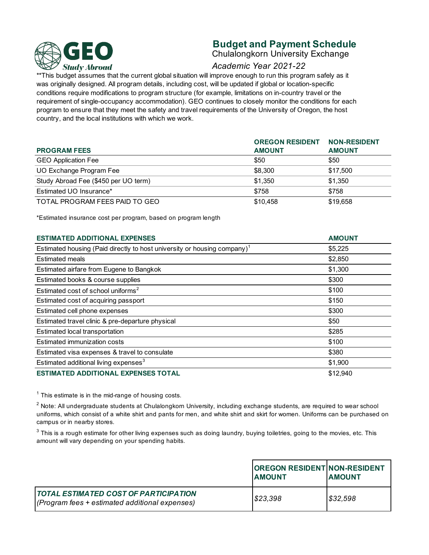

# **Budget and Payment Schedule**

Chulalongkorn University Exchange

# *Academic Year 2021-22*

\*\*This budget assumes that the current global situation will improve enough to run this program safely as it was originally designed. All program details, including cost, will be updated if global or location-specific conditions require modifications to program structure (for example, limitations on in-country travel or the requirement of single-occupancy accommodation). GEO continues to closely monitor the conditions for each program to ensure that they meet the safety and travel requirements of the University of Oregon, the host country, and the local institutions with which we work.

|                                      | <b>OREGON RESIDENT</b> | <b>NON-RESIDENT</b> |
|--------------------------------------|------------------------|---------------------|
| <b>PROGRAM FEES</b>                  | <b>AMOUNT</b>          | <b>AMOUNT</b>       |
| <b>GEO Application Fee</b>           | \$50                   | \$50                |
| UO Exchange Program Fee              | \$8,300                | \$17.500            |
| Study Abroad Fee (\$450 per UO term) | \$1.350                | \$1,350             |
| Estimated UO Insurance*              | \$758                  | \$758               |
| TOTAL PROGRAM FEES PAID TO GEO       | \$10,458               | \$19,658            |

\*Estimated insurance cost per program, based on program length

| <b>ESTIMATED ADDITIONAL EXPENSES</b>                                                 | <b>AMOUNT</b> |  |
|--------------------------------------------------------------------------------------|---------------|--|
| Estimated housing (Paid directly to host university or housing company) <sup>1</sup> | \$5,225       |  |
| <b>Estimated meals</b>                                                               | \$2,850       |  |
| Estimated airfare from Eugene to Bangkok                                             | \$1,300       |  |
| Estimated books & course supplies                                                    | \$300         |  |
| Estimated cost of school uniforms <sup>2</sup>                                       | \$100         |  |
| Estimated cost of acquiring passport                                                 | \$150         |  |
| Estimated cell phone expenses                                                        | \$300         |  |
| Estimated travel clinic & pre-departure physical                                     | \$50          |  |
| Estimated local transportation                                                       | \$285         |  |
| Estimated immunization costs                                                         | \$100         |  |
| Estimated visa expenses & travel to consulate                                        | \$380         |  |
| Estimated additional living expenses <sup>3</sup>                                    | \$1,900       |  |
| <b>ESTIMATED ADDITIONAL EXPENSES TOTAL</b>                                           | \$12,940      |  |

 $1$  This estimate is in the mid-range of housing costs.

 $^2$  Note: All undergraduate students at Chulalongkom University, including exchange students, are required to wear school uniforms, which consist of a white shirt and pants for men, and white shirt and skirt for women. Uniforms can be purchased on campus or in nearby stores.

 $^3$  This is a rough estimate for other living expenses such as doing laundry, buying toiletries, going to the movies, etc. This amount will vary depending on your spending habits.

|                                                                                                  | <b>OREGON RESIDENT NON-RESIDENT</b><br><b>LAMOUNT</b> | <b>AMOUNT</b> |
|--------------------------------------------------------------------------------------------------|-------------------------------------------------------|---------------|
| <u>I TOTAL ESTIMATED COST OF PARTICIPATION</u><br>(Program fees + estimated additional expenses) | \$23,398                                              | 832,598       |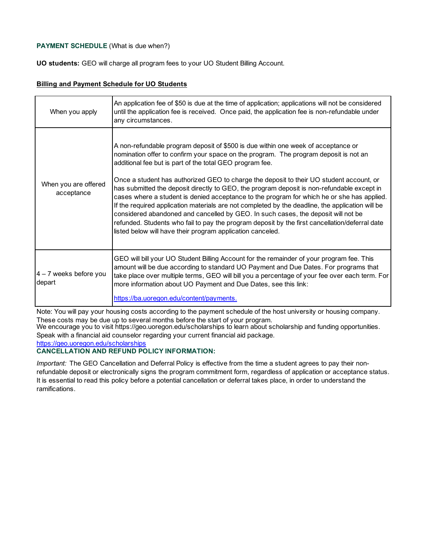## **PAYMENT SCHEDULE** (What is due when?)

**UO students:** GEO will charge all program fees to your UO Student Billing Account.

#### **Billing and Payment Schedule for UO Students**

| When you apply                     | An application fee of \$50 is due at the time of application; applications will not be considered<br>until the application fee is received. Once paid, the application fee is non-refundable under<br>any circumstances.                                                                                                                                                                                                                                                                                                                                                                                                                                                                                                                                                                                                                                                              |
|------------------------------------|---------------------------------------------------------------------------------------------------------------------------------------------------------------------------------------------------------------------------------------------------------------------------------------------------------------------------------------------------------------------------------------------------------------------------------------------------------------------------------------------------------------------------------------------------------------------------------------------------------------------------------------------------------------------------------------------------------------------------------------------------------------------------------------------------------------------------------------------------------------------------------------|
| When you are offered<br>acceptance | A non-refundable program deposit of \$500 is due within one week of acceptance or<br>nomination offer to confirm your space on the program. The program deposit is not an<br>additional fee but is part of the total GEO program fee.<br>Once a student has authorized GEO to charge the deposit to their UO student account, or<br>has submitted the deposit directly to GEO, the program deposit is non-refundable except in<br>cases where a student is denied acceptance to the program for which he or she has applied.<br>If the required application materials are not completed by the deadline, the application will be<br>considered abandoned and cancelled by GEO. In such cases, the deposit will not be<br>refunded. Students who fail to pay the program deposit by the first cancellation/deferral date<br>listed below will have their program application canceled. |
| $4 - 7$ weeks before you<br>depart | GEO will bill your UO Student Billing Account for the remainder of your program fee. This<br>amount will be due according to standard UO Payment and Due Dates. For programs that<br>take place over multiple terms, GEO will bill you a percentage of your fee over each term. For<br>more information about UO Payment and Due Dates, see this link:<br>https://ba.uoregon.edu/content/payments.                                                                                                                                                                                                                                                                                                                                                                                                                                                                                    |

Note: You will pay your housing costs according to the payment schedule of the host university or housing company. These costs may be due up to several months before the start of your program.

We encourage you to visit https://geo.uoregon.edu/scholarships to learn about scholarship and funding opportunities. Speak with a financial aid counselor regarding your current financial aid package.

https://geo.uoregon.edu/scholarships

# **CANCELLATION AND REFUND POLICY INFORMATION:**

*Important:* The GEO Cancellation and Deferral Policy is effective from the time a student agrees to pay their nonrefundable deposit or electronically signs the program commitment form, regardless of application or acceptance status. It is essential to read this policy before a potential cancellation or deferral takes place, in order to understand the ramifications.